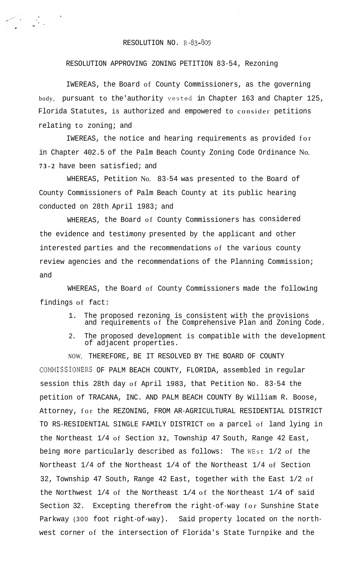## RESOLUTION NO. R-83-805

## RESOLUTION APPROVING ZONING PETITION 83-54, Rezoning

IWEREAS, the Board of County Commissioners, as the governing body, pursuant to the'authority vested in Chapter 163 and Chapter 125, Florida Statutes, is authorized and empowered to consider petitions relating to zoning; and

IWEREAS, the notice and hearing requirements as provided for in Chapter 402.5 of the Palm Beach County Zoning Code Ordinance No. **7 3 - 2** have been satisfied; and

WHEREAS, Petition No. 83-54 was presented to the Board of County Commissioners of Palm Beach County at its public hearing conducted on 28th April 1983; and

WHEREAS, the Board of County Commissioners has considered the evidence and testimony presented by the applicant and other interested parties and the recommendations of the various county review agencies and the recommendations of the Planning Commission; and

WHEREAS, the Board of County Commissioners made the following findings of fact:

- 1. The proposed rezoning is consistent with the provisions and requirements of the Comprehensive Plan and Zoning Code.
- 2. The proposed development is compatible with the development of adjacent properties.

NOW, THEREFORE, BE IT RESOLVED BY THE BOARD OF COUNTY COMMISSIONERS OF PALM BEACH COUNTY, FLORIDA, assembled in regular session this 28th day of April 1983, that Petition No. 83-54 the petition of TRACANA, INC. AND PALM BEACH COUNTY By William R. Boose, Attorney, for the REZONING, FROM AR-AGRICULTURAL RESIDENTIAL DISTRICT TO RS-RESIDENTIAL SINGLE FAMILY DISTRICT on a parcel of land lying in the Northeast 1/4 of Section **32,** Township 47 South, Range 42 East, being more particularly described as follows: The WEst 1/2 of the Northeast 1/4 of the Northeast 1/4 of the Northeast 1/4 of Section 32, Township 47 South, Range 42 East, together with the East 1/2 of the Northwest 1/4 of the Northeast 1/4 of the Northeast 1/4 of said Section 32. Excepting therefrom the right-of-way for Sunshine State Parkway (300 foot right-of-way). Said property located on the northwest corner of the intersection of Florida's State Turnpike and the